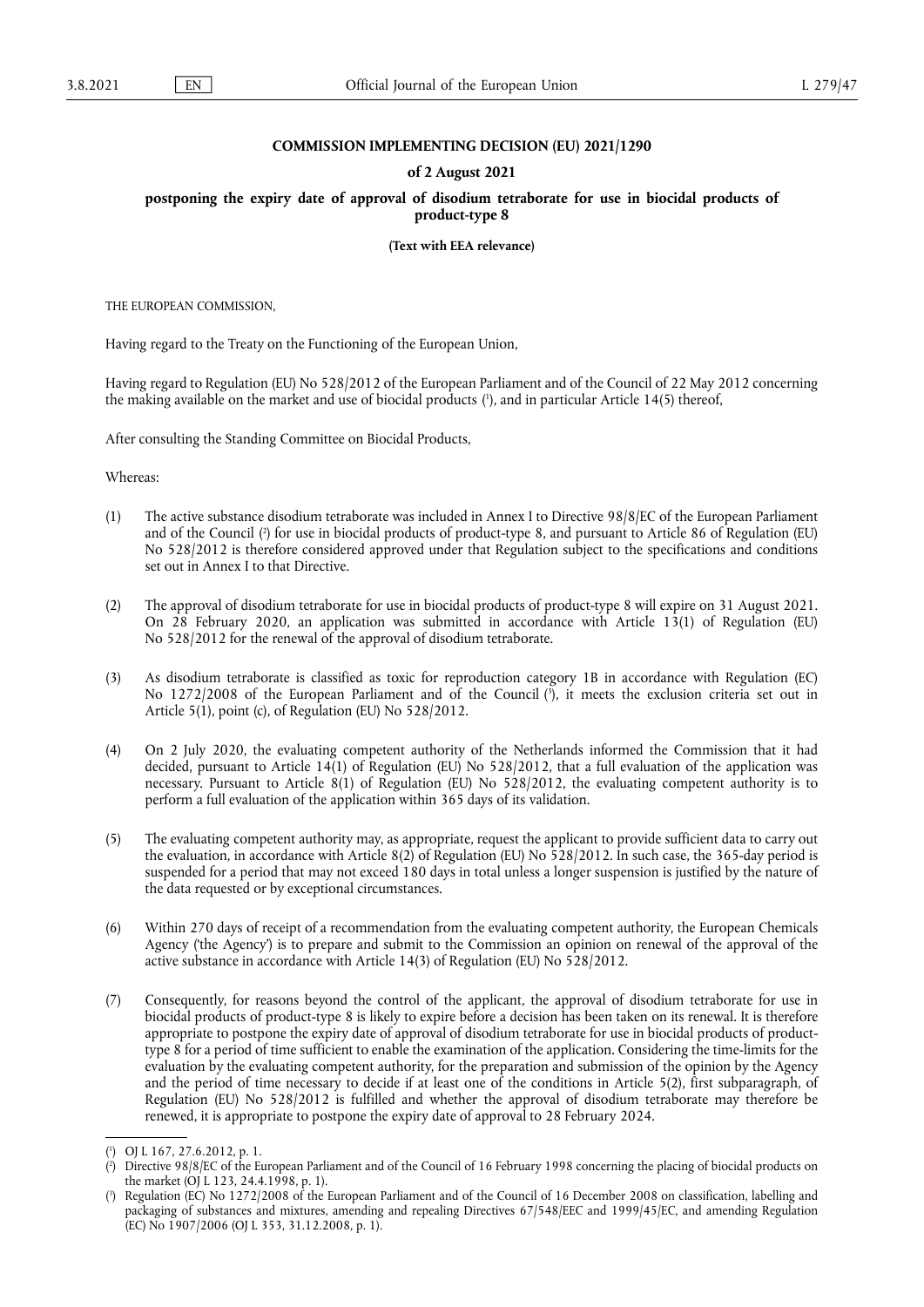## **COMMISSION IMPLEMENTING DECISION (EU) 2021/1290**

## **of 2 August 2021**

**postponing the expiry date of approval of disodium tetraborate for use in biocidal products of product-type 8** 

**(Text with EEA relevance)** 

THE EUROPEAN COMMISSION,

Having regard to the Treaty on the Functioning of the European Union,

<span id="page-0-3"></span>Having regard to Regulation (EU) No 528/2012 of the European Parliament and of the Council of 22 May 2012 concerning the making available on the market and use of biocidal products [\(](#page-0-0) 1 ), and in particular Article 14(5) thereof,

After consulting the Standing Committee on Biocidal Products,

Whereas:

- <span id="page-0-4"></span>(1) The active substance disodium tetraborate was included in Annex I to Directive 98/8/EC of the European Parliament and of the Council [\(](#page-0-1) 2 ) for use in biocidal products of product-type 8, and pursuant to Article 86 of Regulation (EU) No 528/2012 is therefore considered approved under that Regulation subject to the specifications and conditions set out in Annex I to that Directive.
- (2) The approval of disodium tetraborate for use in biocidal products of product-type 8 will expire on 31 August 2021. On 28 February 2020, an application was submitted in accordance with Article 13(1) of Regulation (EU) No 528/2012 for the renewal of the approval of disodium tetraborate.
- <span id="page-0-5"></span>(3) As disodium tetraborate is classified as toxic for reproduction category 1B in accordance with Regulation (EC) No 1272/2008 of the European Parliament and of the Council [\(](#page-0-2) 3 ), it meets the exclusion criteria set out in Article 5(1), point (c), of Regulation (EU) No 528/2012.
- (4) On 2 July 2020, the evaluating competent authority of the Netherlands informed the Commission that it had decided, pursuant to Article 14(1) of Regulation (EU) No 528/2012, that a full evaluation of the application was necessary. Pursuant to Article 8(1) of Regulation (EU) No 528/2012, the evaluating competent authority is to perform a full evaluation of the application within 365 days of its validation.
- (5) The evaluating competent authority may, as appropriate, request the applicant to provide sufficient data to carry out the evaluation, in accordance with Article 8(2) of Regulation (EU) No 528/2012. In such case, the 365-day period is suspended for a period that may not exceed 180 days in total unless a longer suspension is justified by the nature of the data requested or by exceptional circumstances.
- (6) Within 270 days of receipt of a recommendation from the evaluating competent authority, the European Chemicals Agency ('the Agency') is to prepare and submit to the Commission an opinion on renewal of the approval of the active substance in accordance with Article 14(3) of Regulation (EU) No 528/2012.
- (7) Consequently, for reasons beyond the control of the applicant, the approval of disodium tetraborate for use in biocidal products of product-type 8 is likely to expire before a decision has been taken on its renewal. It is therefore appropriate to postpone the expiry date of approval of disodium tetraborate for use in biocidal products of producttype 8 for a period of time sufficient to enable the examination of the application. Considering the time-limits for the evaluation by the evaluating competent authority, for the preparation and submission of the opinion by the Agency and the period of time necessary to decide if at least one of the conditions in Article 5(2), first subparagraph, of Regulation (EU) No 528/2012 is fulfilled and whether the approval of disodium tetraborate may therefore be renewed, it is appropriate to postpone the expiry date of approval to 28 February 2024.

<span id="page-0-0"></span>[<sup>\(</sup>](#page-0-3) 1 ) OJ L 167, 27.6.2012, p. 1.

<span id="page-0-1"></span>[<sup>\(</sup>](#page-0-4) 2 ) Directive 98/8/EC of the European Parliament and of the Council of 16 February 1998 concerning the placing of biocidal products on the market (OJ L 123, 24.4.1998, p. 1).

<span id="page-0-2"></span>[<sup>\(</sup>](#page-0-5) 3 ) Regulation (EC) No 1272/2008 of the European Parliament and of the Council of 16 December 2008 on classification, labelling and packaging of substances and mixtures, amending and repealing Directives 67/548/EEC and 1999/45/EC, and amending Regulation (EC) No 1907/2006 (OJ L 353, 31.12.2008, p. 1).